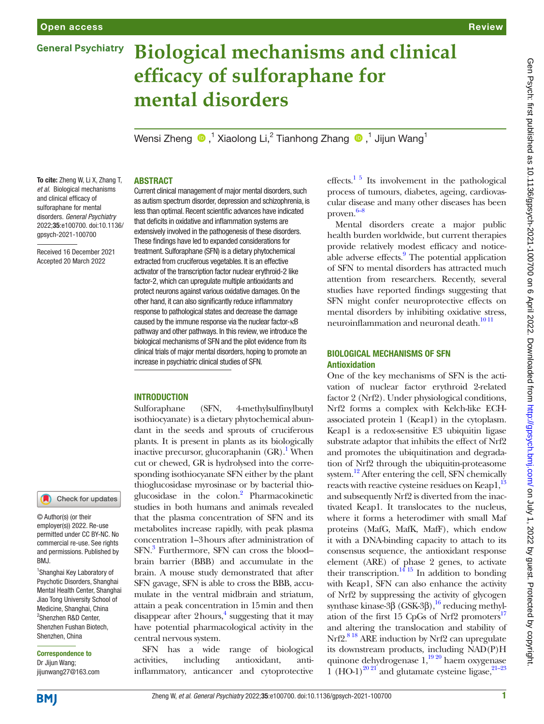### **General Psychiatry**

# **Biological mechanisms and clinical efficacy of sulforaphane for mental disorders**

Wensi Zheng  $\bigcirc$  ,<sup>1</sup> Xiaolong Li,<sup>2</sup> Tianhong Zhang  $\bigcirc$  ,<sup>1</sup> Jijun Wang<sup>1</sup>

# Gen Psych: first published as 10.1136/gpsych-2021-100700 on 6 April 2022. Downloaded from http://gpsych.bmj.com/ on July 1, 2022 by guest. Protected by copyright Gen Psych: first published as 10.1136/gpsych-2021-100700 on 6 April 2022. Downloaded from <http://gpsych.bmj.com/> on July 1, 2022 by guest. Protected by copyright.

### **ABSTRACT**

To cite: Zheng W, Li X, Zhang T, *et al*. Biological mechanisms and clinical efficacy of sulforaphane for mental disorders. *General Psychiatry* 2022;35:e100700. doi:10.1136/ gpsych-2021-100700

Received 16 December 2021 Accepted 20 March 2022

Current clinical management of major mental disorders, such as autism spectrum disorder, depression and schizophrenia, is less than optimal. Recent scientific advances have indicated that deficits in oxidative and inflammation systems are extensively involved in the pathogenesis of these disorders. These findings have led to expanded considerations for treatment. Sulforaphane (SFN) is a dietary phytochemical extracted from cruciferous vegetables. It is an effective activator of the transcription factor nuclear erythroid-2 like factor-2, which can upregulate multiple antioxidants and protect neurons against various oxidative damages. On the other hand, it can also significantly reduce inflammatory response to pathological states and decrease the damage caused by the immune response via the nuclear factor-κB pathway and other pathways. In this review, we introduce the biological mechanisms of SFN and the pilot evidence from its clinical trials of major mental disorders, hoping to promote an increase in psychiatric clinical studies of SFN.

### **INTRODUCTION**

Sulforaphane (SFN, 4-methylsulfinylbutyl isothiocyanate) is a dietary phytochemical abundant in the seeds and sprouts of cruciferous plants. It is present in plants as its biologically inactive precursor, glucoraphanin  $(GR)$ .<sup>1</sup> When cut or chewed, GR is hydrolysed into the corresponding isothiocyanate SFN either by the plant thioglucosidase myrosinase or by bacterial thioglucosidase in the colon.<sup>2</sup> Pharmacokinetic studies in both humans and animals revealed that the plasma concentration of SFN and its metabolites increase rapidly, with peak plasma concentration 1–3hours after administration of SFN.<sup>[3](#page-4-2)</sup> Furthermore, SFN can cross the bloodbrain barrier (BBB) and accumulate in the brain. A mouse study demonstrated that after SFN gavage, SFN is able to cross the BBB, accumulate in the ventral midbrain and striatum, attain a peak concentration in 15min and then disappear after  $2$  hours,<sup>[4](#page-4-3)</sup> suggesting that it may have potential pharmacological activity in the central nervous system.

SFN has a wide range of biological activities, including antioxidant, antiinflammatory, anticancer and cytoprotective

effects. $15$  Its involvement in the pathological process of tumours, diabetes, ageing, cardiovascular disease and many other diseases has been proven. [6–8](#page-4-4)

Mental disorders create a major public health burden worldwide, but current therapies provide relatively modest efficacy and noticeable adverse effects.<sup>9</sup> The potential application of SFN to mental disorders has attracted much attention from researchers. Recently, several studies have reported findings suggesting that SFN might confer neuroprotective effects on mental disorders by inhibiting oxidative stress, neuroinflammation and neuronal death.<sup>10 11</sup>

### Biological mechanisms of SFN Antioxidation

One of the key mechanisms of SFN is the activation of nuclear factor erythroid 2-related factor 2 (Nrf2). Under physiological conditions, Nrf2 forms a complex with Kelch-like ECHassociated protein 1 (Keap1) in the cytoplasm. Keap1 is a redox-sensitive E3 ubiquitin ligase substrate adaptor that inhibits the effect of Nrf2 and promotes the ubiquitination and degradation of Nrf2 through the ubiquitin-proteasome system.<sup>12</sup> After entering the cell, SFN chemically reacts with reactive cysteine residues on Keap1,<sup>13</sup> and subsequently Nrf2 is diverted from the inactivated Keap1. It translocates to the nucleus, where it forms a heterodimer with small Maf proteins (MafG, MafK, MafF), which endow it with a DNA-binding capacity to attach to its consensus sequence, the antioxidant response element (ARE) of phase 2 genes, to activate their transcription.<sup>14 15</sup> In addition to bonding with Keap1, SFN can also enhance the activity of Nrf2 by suppressing the activity of glycogen synthase kinase-3β (GSK-3β), <sup>16</sup> reducing methylation of the first 15 CpGs of Nrf2 promoters $17$ and altering the translocation and stability of Nrf2<sup>818</sup> ARE induction by Nrf2 can upregulate its downstream products, including NAD(P)H quinone dehydrogenase  $1,^{19\,20}$  haem oxygenase 1 (HO-1)<sup>20 21</sup> and glutamate cysteine ligase,  $21-23$ 

**BMI** 

1 Shanghai Key Laboratory of Psychotic Disorders, Shanghai Mental Health Center, Shanghai Jiao Tong University School of Medicine, Shanghai, China 2 Shenzhen R&D Center, Shenzhen Fushan Biotech, Shenzhen, China Correspondence to Dr Jijun Wang; jijunwang27@163.com

Check for updates

© Author(s) (or their employer(s)) 2022. Re-use permitted under CC BY-NC. No commercial re-use. See rights and permissions. Published by

BMJ.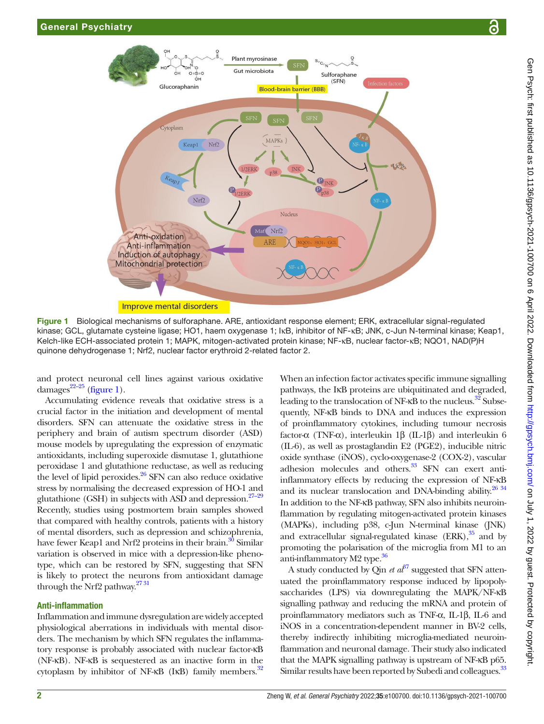

Figure 1 Biological mechanisms of sulforaphane. ARE, antioxidant response element; ERK, extracellular signal-regulated kinase; GCL, glutamate cysteine ligase; HO1, haem oxygenase 1; IκB, inhibitor of NF-κB; JNK, c-Jun N-terminal kinase; Keap1, Kelch-like ECH-associated protein 1; MAPK, mitogen-activated protein kinase; NF-κB, nuclear factor-κB; NQO1, NAD(P)H quinone dehydrogenase 1; Nrf2, nuclear factor erythroid 2-related factor 2.

and protect neuronal cell lines against various oxidative damages $^{22-25}$  [\(figure](#page-1-0) 1).

Accumulating evidence reveals that oxidative stress is a crucial factor in the initiation and development of mental disorders. SFN can attenuate the oxidative stress in the periphery and brain of autism spectrum disorder (ASD) mouse models by upregulating the expression of enzymatic antioxidants, including superoxide dismutase 1, glutathione peroxidase 1 and glutathione reductase, as well as reducing the level of lipid peroxides. $26$  SFN can also reduce oxidative stress by normalising the decreased expression of HO-1 and glutathione (GSH) in subjects with ASD and depression.<sup>27-29</sup> Recently, studies using postmortem brain samples showed that compared with healthy controls, patients with a history of mental disorders, such as depression and schizophrenia, have fewer Keap1 and Nrf2 proteins in their brain.<sup>30</sup> Similar variation is observed in mice with a depression-like phenotype, which can be restored by SFN, suggesting that SFN is likely to protect the neurons from antioxidant damage through the Nrf2 pathway. $2731$ 

### Anti-inflammation

Inflammation and immune dysregulation are widely accepted physiological aberrations in individuals with mental disorders. The mechanism by which SFN regulates the inflammatory response is probably associated with nuclear factor-κB (NF-κB). NF-κB is sequestered as an inactive form in the cytoplasm by inhibitor of NF- $\kappa$ B (I $\kappa$ B) family members.<sup>[32](#page-5-7)</sup>

<span id="page-1-0"></span>When an infection factor activates specific immune signalling pathways, the IκB proteins are ubiquitinated and degraded, leading to the translocation of NF- $\kappa$ B to the nucleus.<sup>32</sup> Subsequently, NF-κB binds to DNA and induces the expression of proinflammatory cytokines, including tumour necrosis factor-α (TNF-α), interleukin 1β (IL-1β) and interleukin 6 (IL-6), as well as prostaglandin E2 (PGE2), inducible nitric oxide synthase (iNOS), cyclo-oxygenase-2 (COX-2), vascular adhesion molecules and others.<sup>33</sup> SFN can exert antiinflammatory effects by reducing the expression of NF-κB and its nuclear translocation and DNA-binding ability.<sup>[26 34](#page-5-4)</sup> In addition to the NF-κB pathway, SFN also inhibits neuroinflammation by regulating mitogen-activated protein kinases (MAPKs), including p38, c-Jun N-terminal kinase (JNK) and extracellular signal-regulated kinase  $(ERK),$ <sup>35</sup> and by promoting the polarisation of the microglia from M1 to an anti-inflammatory M2 type.<sup>36</sup>

A study conducted by Qin *et*  $a\hat{t}^7$  suggested that SFN attenuated the proinflammatory response induced by lipopolysaccharides (LPS) via downregulating the MAPK/NF-κB signalling pathway and reducing the mRNA and protein of proinflammatory mediators such as TNF-α, IL-1β, IL-6 and iNOS in a concentration-dependent manner in BV-2 cells, thereby indirectly inhibiting microglia-mediated neuroinflammation and neuronal damage. Their study also indicated that the MAPK signalling pathway is upstream of NF-κB p65. Similar results have been reported by Subedi and colleagues.<sup>33</sup>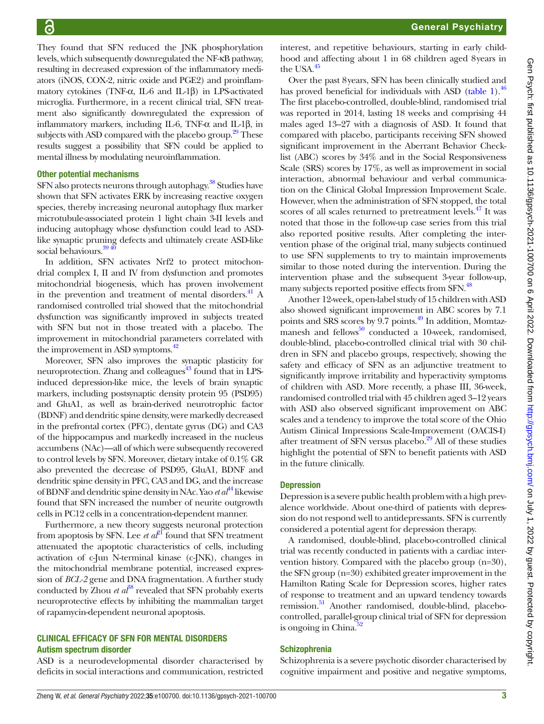General Psychiatry

They found that SFN reduced the JNK phosphorylation levels, which subsequently downregulated the NF-κB pathway, resulting in decreased expression of the inflammatory mediators (iNOS, COX-2, nitric oxide and PGE2) and proinflammatory cytokines (TNF-α, IL-6 and IL-1β) in LPS-activated microglia. Furthermore, in a recent clinical trial, SFN treatment also significantly downregulated the expression of inflammatory markers, including IL-6, TNF- $\alpha$  and IL-1β, in subjects with ASD compared with the placebo group.<sup>[29](#page-5-12)</sup> These results suggest a possibility that SFN could be applied to mental illness by modulating neuroinflammation.

### Other potential mechanisms

SFN also protects neurons through autophagy.<sup>38</sup> Studies have shown that SFN activates ERK by increasing reactive oxygen species, thereby increasing neuronal autophagy flux marker microtubule-associated protein 1 light chain 3-II levels and inducing autophagy whose dysfunction could lead to ASDlike synaptic pruning defects and ultimately create ASD-like social behaviours. $39\frac{40}{10}$ 

In addition, SFN activates Nrf2 to protect mitochondrial complex I, II and IV from dysfunction and promotes mitochondrial biogenesis, which has proven involvement in the prevention and treatment of mental disorders. $^{41}$  A randomised controlled trial showed that the mitochondrial dysfunction was significantly improved in subjects treated with SFN but not in those treated with a placebo. The improvement in mitochondrial parameters correlated with the improvement in ASD symptoms.<sup>42</sup>

Moreover, SFN also improves the synaptic plasticity for neuroprotection. Zhang and colleagues<sup>43</sup> found that in LPSinduced depression-like mice, the levels of brain synaptic markers, including postsynaptic density protein 95 (PSD95) and GluA1, as well as brain-derived neurotrophic factor (BDNF) and dendritic spine density, were markedly decreased in the prefrontal cortex (PFC), dentate gyrus (DG) and CA3 of the hippocampus and markedly increased in the nucleus accumbens (NAc)—all of which were subsequently recovered to control levels by SFN. Moreover, dietary intake of 0.1% GR also prevented the decrease of PSD95, GluA1, BDNF and dendritic spine density in PFC, CA3 and DG, and the increase of BDNF and dendritic spine density in NAc. Yao *et al*[44](#page-5-18) likewise found that SFN increased the number of neurite outgrowth cells in PC12 cells in a concentration-dependent manner.

Furthermore, a new theory suggests neuronal protection from apoptosis by SFN. Lee *et*  $a^{\ell}$  found that SFN treatment attenuated the apoptotic characteristics of cells, including activation of c-Jun N-terminal kinase (c-JNK), changes in the mitochondrial membrane potential, increased expression of *BCL-2* gene and DNA fragmentation. A further study conducted by Zhou  $et \, a\ddot{t}^8$  revealed that SFN probably exerts neuroprotective effects by inhibiting the mammalian target of rapamycin-dependent neuronal apoptosis.

### Clinical efficacy of SFN for mental disorders Autism spectrum disorder

ASD is a neurodevelopmental disorder characterised by deficits in social interactions and communication, restricted

interest, and repetitive behaviours, starting in early childhood and affecting about 1 in 68 children aged 8years in the USA. $45$ 

Over the past 8years, SFN has been clinically studied and has proved beneficial for individuals with ASD ([table](#page-3-0) 1).<sup>46</sup> The first placebo-controlled, double-blind, randomised trial was reported in 2014, lasting 18 weeks and comprising 44 males aged 13–27 with a diagnosis of ASD. It found that compared with placebo, participants receiving SFN showed significant improvement in the Aberrant Behavior Checklist (ABC) scores by 34% and in the Social Responsiveness Scale (SRS) scores by 17%, as well as improvement in social interaction, abnormal behaviour and verbal communication on the Clinical Global Impression Improvement Scale. However, when the administration of SFN stopped, the total scores of all scales returned to pretreatment levels.<sup>47</sup> It was noted that those in the follow-up case series from this trial also reported positive results. After completing the intervention phase of the original trial, many subjects continued to use SFN supplements to try to maintain improvements similar to those noted during the intervention. During the intervention phase and the subsequent 3-year follow-up, many subjects reported positive effects from SFN.<sup>48</sup>

Another 12-week, open-label study of 15 children with ASD also showed significant improvement in ABC scores by 7.1 points and SRS scores by 9.7 points.<sup>[49](#page-5-23)</sup> In addition, Momtazmanesh and fellows $^{50}$  $^{50}$  $^{50}$  conducted a 10-week, randomised, double-blind, placebo-controlled clinical trial with 30 children in SFN and placebo groups, respectively, showing the safety and efficacy of SFN as an adjunctive treatment to significantly improve irritability and hyperactivity symptoms of children with ASD. More recently, a phase III, 36-week, randomised controlled trial with 45 children aged 3–12 years with ASD also observed significant improvement on ABC scales and a tendency to improve the total score of the Ohio Autism Clinical Impressions Scale-Improvement (OACIS-I) after treatment of SFN versus placebo.<sup>29</sup> All of these studies highlight the potential of SFN to benefit patients with ASD in the future clinically.

### **Depression**

Depression is a severe public health problem with a high prevalence worldwide. About one-third of patients with depression do not respond well to antidepressants. SFN is currently considered a potential agent for depression therapy.

A randomised, double-blind, placebo-controlled clinical trial was recently conducted in patients with a cardiac intervention history. Compared with the placebo group (n=30), the SFN group (n=30) exhibited greater improvement in the Hamilton Rating Scale for Depression scores, higher rates of response to treatment and an upward tendency towards remission.<sup>51</sup> Another randomised, double-blind, placebocontrolled, parallel-group clinical trial of SFN for depression is ongoing in China. $52$ 

### **Schizophrenia**

Schizophrenia is a severe psychotic disorder characterised by cognitive impairment and positive and negative symptoms,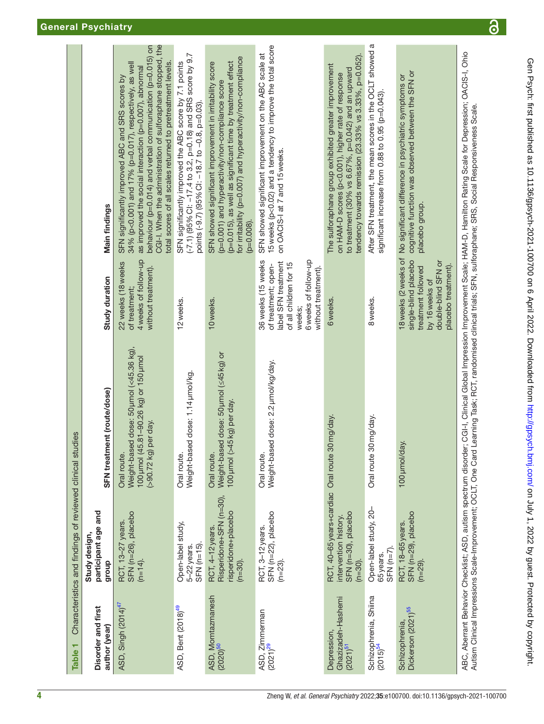<span id="page-3-0"></span>

| Table <sub>1</sub>                                     | Characteristics and findings of reviewed clinical studies                                        |                                                                                                                                                                    |                                                                                                                                                     |                                                                                                                                                                                                                                                                                                                                                                 |
|--------------------------------------------------------|--------------------------------------------------------------------------------------------------|--------------------------------------------------------------------------------------------------------------------------------------------------------------------|-----------------------------------------------------------------------------------------------------------------------------------------------------|-----------------------------------------------------------------------------------------------------------------------------------------------------------------------------------------------------------------------------------------------------------------------------------------------------------------------------------------------------------------|
| Disorder and first<br>author (year)                    | participant age and<br>Study design,<br>group                                                    | SFN treatment (route/dose)                                                                                                                                         | Study duration                                                                                                                                      | <b>Main findings</b>                                                                                                                                                                                                                                                                                                                                            |
| ASD, Singh (2014) <sup>47</sup>                        | SFN (n=26), placebo<br>RCT, 13-27 years.<br>$(n=14)$ .                                           | Weight-based dose: 50 µmol (<45.36 kg),<br>100 µmol (45.81-90.26 kg) or 150 µmol<br>(>90.72 kg) per day.<br>Oral route.                                            | 4 weeks of follow-up<br>22 weeks (18 weeks<br>without treatment).<br>of treatment;                                                                  | CGI-I. When the administration of sulforaphane stopped, the<br>behaviour (p=0.014) and verbal communication (p=0.015) on<br>total scores of all scales returned to pretreatment levels.<br>34% (p<0.001) and 17% (p=0.017), respectively, as well<br>as improved the social interaction (p=0.007), abnormal<br>SFN significantly improved ABC and SRS scores by |
| ASD, Bent (2018) <sup>49</sup>                         | Open-label study,<br>$SFN$ ( $n=15$ ).<br>5-22 years.                                            | Weight-based dose: 1.14 umol/kg.<br>Oral route.                                                                                                                    | 12 weeks.                                                                                                                                           | $(-7.1)$ (95% CI: $-17.4$ to 3.2, p=0.18) and SRS score by 9.7<br>SFN significantly improved the ABC score by 7.1 points<br>points (-9.7) (95% Cl: -18.7 to -0.8, p=0.03).                                                                                                                                                                                      |
| ASD, Momtazmanesh<br>(2020) <sup>50</sup>              | Risperidone+SFN (n=30),<br>risperidone+placebo<br>RCT, 4-12 years.<br>$(n=30)$ .                 | Weight-based dose: 50 umol (≤45 kg) or<br>100 µmol (>45 kg) per day.<br>Oral route.                                                                                | 10 weeks.                                                                                                                                           | for irritability (p=0.007) and hyperactivity/non-compliance<br>SFN showed significant improvement in irritability score<br>(p=0.015), as well as significant time by treatment effect<br>(p=0.001) and hyperactivity/non-compliance score<br>$(p=0.008)$ .                                                                                                      |
| ASD, Zimmerman<br>$(2021)^{29}$                        | SFN (n=22), placebo<br>RCT, 3-12 years.<br>$(n=23)$ .                                            | Weight-based dose: 2.2 umol/kg/day.<br>Oral route.                                                                                                                 | 36 weeks (15 weeks<br>6 weeks of follow-up<br>label SFN treatment<br>of all children for 15<br>of treatment; open-<br>without treatment).<br>weeks; | 15 weeks (p<0.02) and a tendency to improve the total score<br>SFN showed significant improvement on the ABC scale at<br>on OACIS-I at 7 and 15 weeks.                                                                                                                                                                                                          |
| Ghazizadeh-Hashemi<br>Depression<br>$(2021)^{51}$      | RCT, 40-65 years+cardiac Oral route<br>SFN (n=30), placebo<br>intervention history<br>$(n=30)$ . | 30 mg/day.                                                                                                                                                         | 6 weeks.                                                                                                                                            | tendency towards remission (23.33% vs 3.33%, p=0.052).<br>The sulforaphane group exhibited greater improvement<br>to treatment (30% vs 6.67%, p=0.042) and an upward<br>on HAM-D scores (p<0.001), higher rate of response                                                                                                                                      |
| Schizophrenia, Shiina<br>$(2015)^{54}$                 | Open-label study, 20-<br>$SFN$ ( $n=7$ ).<br>65 years.                                           | 30 mg/day.<br>Oral route                                                                                                                                           | 8 weeks.                                                                                                                                            | After SFN treatment, the mean scores in the OCLT showed a<br>significant increase from 0.88 to 0.95 (p=0.043).                                                                                                                                                                                                                                                  |
| Dickerson (2021) <sup>55</sup><br><b>Schizophrenia</b> | SFN (n=29), placebo<br>RCT, 18-65 years<br>$(n=29)$ .                                            | 100 µmol/day.                                                                                                                                                      | single-blind placebo<br>double-blind SFN or<br>placebo treatment).<br>treatment followed<br>by 16 weeks of                                          | cognitive function was observed between the SFN or<br>18 weeks (2 weeks of No significant difference in psychiatric symptoms or<br>placebo group.                                                                                                                                                                                                               |
|                                                        |                                                                                                  | Autism Clinical Impressions Scale-Improvement; OCLT, One Card Learning Task; RCT, randomised clinical trials; SFN, sulforaphane; SRS, Social Responsiveness Scale. |                                                                                                                                                     | ABC, Aberrant Behavior Checklist; ASD, autism spectrum disorder; CGI-I, Clinical Global Impression Improvement Scale; HAM-D, Hamilton Rating Scale for Depression; OACI-I, Ohio                                                                                                                                                                                 |

 $\overline{\partial}$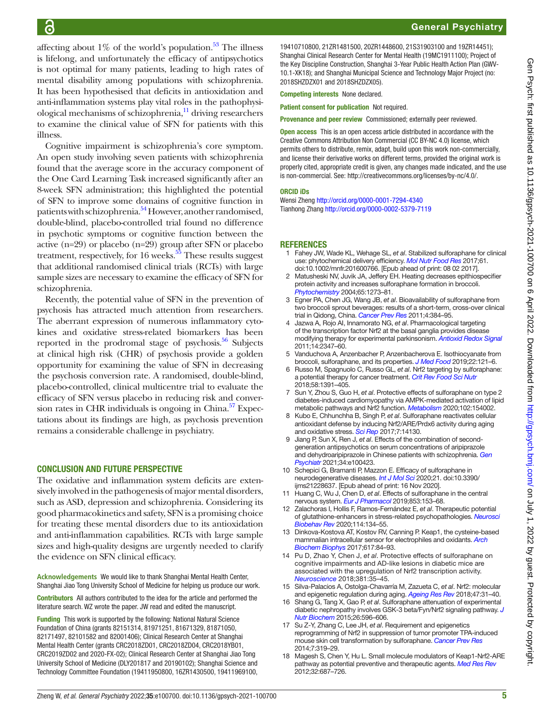affecting about  $1\%$  of the world's population.<sup>53</sup> The illness is lifelong, and unfortunately the efficacy of antipsychotics is not optimal for many patients, leading to high rates of mental disability among populations with schizophrenia. It has been hypothesised that deficits in antioxidation and anti-inflammation systems play vital roles in the pathophysiological mechanisms of schizophrenia,<sup>11</sup> driving researchers to examine the clinical value of SFN for patients with this illness.

Cognitive impairment is schizophrenia's core symptom. An open study involving seven patients with schizophrenia found that the average score in the accuracy component of the One Card Learning Task increased significantly after an 8-week SFN administration; this highlighted the potential of SFN to improve some domains of cognitive function in patients with schizophrenia.<sup>54</sup> However, another randomised, double-blind, placebo-controlled trial found no difference in psychotic symptoms or cognitive function between the active (n=29) or placebo (n=29) group after SFN or placebo treatment, respectively, for  $16$  weeks.<sup>55</sup> These results suggest that additional randomised clinical trials (RCTs) with large sample sizes are necessary to examine the efficacy of SFN for schizophrenia.

Recently, the potential value of SFN in the prevention of psychosis has attracted much attention from researchers. The aberrant expression of numerous inflammatory cytokines and oxidative stress-related biomarkers has been reported in the prodromal stage of psychosis. $56$  Subjects at clinical high risk (CHR) of psychosis provide a golden opportunity for examining the value of SFN in decreasing the psychosis conversion rate. A randomised, double-blind, placebo-controlled, clinical multicentre trial to evaluate the efficacy of SFN versus placebo in reducing risk and conversion rates in CHR individuals is ongoing in China. $57$  Expectations about its findings are high, as psychosis prevention remains a considerable challenge in psychiatry.

### Conclusion and future perspective

The oxidative and inflammation system deficits are extensively involved in the pathogenesis of major mental disorders, such as ASD, depression and schizophrenia. Considering its good pharmacokinetics and safety, SFN is a promising choice for treating these mental disorders due to its antioxidation and anti-inflammation capabilities. RCTs with large sample sizes and high-quality designs are urgently needed to clarify the evidence on SFN clinical efficacy.

**Acknowledgements** We would like to thank Shanghai Mental Health Center, Shanghai Jiao Tong University School of Medicine for helping us produce our work.

Contributors All authors contributed to the idea for the article and performed the literature search. WZ wrote the paper. JW read and edited the manuscript.

Funding This work is supported by the following: National Natural Science Foundation of China (grants 82151314, 81971251, 81671329, 81871050, 82171497, 82101582 and 82001406); Clinical Research Center at Shanghai Mental Health Center (grants CRC2018ZD01, CRC2018ZD04, CRC2018YB01, CRC2019ZD02 and 2020-FX-02); Clinical Research Center at Shanghai Jiao Tong University School of Medicine (DLY201817 and 20190102); Shanghai Science and Technology Committee Foundation (19411950800, 16ZR1430500, 19411969100,

19410710800, 21ZR1481500, 20ZR1448600, 21S31903100 and 19ZR14451); Shanghai Clinical Research Center for Mental Health (19MC1911100); Project of the Key Discipline Construction, Shanghai 3-Year Public Health Action Plan (GWV-10.1-XK18); and Shanghai Municipal Science and Technology Major Project (no: 2018SHZDZX01 and 2018SHZDZX05).

Competing interests None declared.

Patient consent for publication Not required.

Provenance and peer review Commissioned; externally peer reviewed.

Open access This is an open access article distributed in accordance with the Creative Commons Attribution Non Commercial (CC BY-NC 4.0) license, which permits others to distribute, remix, adapt, build upon this work non-commercially, and license their derivative works on different terms, provided the original work is properly cited, appropriate credit is given, any changes made indicated, and the use is non-commercial. See: [http://creativecommons.org/licenses/by-nc/4.0/.](http://creativecommons.org/licenses/by-nc/4.0/)

### ORCID iDs

Wensi Zheng <http://orcid.org/0000-0001-7294-4340> Tianhong Zhang<http://orcid.org/0000-0002-5379-7119>

### **REFERENCES**

- <span id="page-4-0"></span>1 Fahey JW, Wade KL, Wehage SL, *et al*. Stabilized sulforaphane for clinical use: phytochemical delivery efficiency. *[Mol Nutr Food Res](http://dx.doi.org/10.1002/mnfr.201600766)* 2017;61. doi:10.1002/mnfr.201600766. [Epub ahead of print: 08 02 2017].
- <span id="page-4-1"></span>2 Matusheski NV, Juvik JA, Jeffery EH. Heating decreases epithiospecifier protein activity and increases sulforaphane formation in broccoli. *[Phytochemistry](http://dx.doi.org/10.1016/j.phytochem.2004.04.013)* 2004;65:1273–81.
- <span id="page-4-2"></span>3 Egner PA, Chen JG, Wang JB, *et al*. Bioavailability of sulforaphane from two broccoli sprout beverages: results of a short-term, cross-over clinical trial in Qidong, China. *[Cancer Prev Res](http://dx.doi.org/10.1158/1940-6207.CAPR-10-0296)* 2011;4:384–95.
- <span id="page-4-3"></span>4 Jazwa A, Rojo AI, Innamorato NG, *et al*. Pharmacological targeting of the transcription factor Nrf2 at the basal ganglia provides disease modifying therapy for experimental parkinsonism. *[Antioxid Redox Signal](http://dx.doi.org/10.1089/ars.2010.3731)* 2011;14:2347–60.
- 5 Vanduchova A, Anzenbacher P, Anzenbacherova E. Isothiocyanate from broccoli, sulforaphane, and its properties. *[J Med Food](http://dx.doi.org/10.1089/jmf.2018.0024)* 2019;22:121–6.
- <span id="page-4-4"></span>6 Russo M, Spagnuolo C, Russo GL, *et al*. Nrf2 targeting by sulforaphane: a potential therapy for cancer treatment. *[Crit Rev Food Sci Nutr](http://dx.doi.org/10.1080/10408398.2016.1259983)* 2018;58:1391–405.
- 7 Sun Y, Zhou S, Guo H, *et al*. Protective effects of sulforaphane on type 2 diabetes-induced cardiomyopathy via AMPK-mediated activation of lipid metabolic pathways and Nrf2 function. *[Metabolism](http://dx.doi.org/10.1016/j.metabol.2019.154002)* 2020;102:154002.
- <span id="page-4-12"></span>8 Kubo E, Chhunchha B, Singh P, *et al*. Sulforaphane reactivates cellular antioxidant defense by inducing Nrf2/ARE/Prdx6 activity during aging and oxidative stress. *[Sci Rep](http://dx.doi.org/10.1038/s41598-017-14520-8)* 2017;7:14130.
- <span id="page-4-5"></span>9 Jiang P, Sun X, Ren J, *et al*. Effects of the combination of secondgeneration antipsychotics on serum concentrations of aripiprazole and dehydroaripiprazole in Chinese patients with schizophrenia. *[Gen](http://dx.doi.org/10.1136/gpsych-2020-100423)  [Psychiatr](http://dx.doi.org/10.1136/gpsych-2020-100423)* 2021;34:e100423.
- <span id="page-4-6"></span>10 Schepici G, Bramanti P, Mazzon E. Efficacy of sulforaphane in neurodegenerative diseases. *[Int J Mol Sci](http://dx.doi.org/10.3390/ijms21228637)* 2020;21. doi:10.3390/ ijms21228637. [Epub ahead of print: 16 Nov 2020].
- <span id="page-4-13"></span>11 Huang C, Wu J, Chen D, *et al*. Effects of sulforaphane in the central nervous system. *[Eur J Pharmacol](http://dx.doi.org/10.1016/j.ejphar.2019.03.010)* 2019;853:153–68.
- <span id="page-4-7"></span>12 Zalachoras I, Hollis F, Ramos-Fernández E, *et al*. Therapeutic potential of glutathione-enhancers in stress-related psychopathologies. *[Neurosci](http://dx.doi.org/10.1016/j.neubiorev.2020.03.015)  [Biobehav Rev](http://dx.doi.org/10.1016/j.neubiorev.2020.03.015)* 2020;114:134–55.
- <span id="page-4-8"></span>13 Dinkova-Kostova AT, Kostov RV, Canning P. Keap1, the cysteine-based mammalian intracellular sensor for electrophiles and oxidants. *[Arch](http://dx.doi.org/10.1016/j.abb.2016.08.005)  [Biochem Biophys](http://dx.doi.org/10.1016/j.abb.2016.08.005)* 2017;617:84–93.
- <span id="page-4-9"></span>14 Pu D, Zhao Y, Chen J, *et al*. Protective effects of sulforaphane on cognitive impairments and AD-like lesions in diabetic mice are associated with the upregulation of Nrf2 transcription activity. *[Neuroscience](http://dx.doi.org/10.1016/j.neuroscience.2018.04.017)* 2018;381:35–45.
- 15 Silva-Palacios A, Ostolga-Chavarría M, Zazueta C, *et al*. Nrf2: molecular and epigenetic regulation during aging. *[Ageing Res Rev](http://dx.doi.org/10.1016/j.arr.2018.06.003)* 2018;47:31–40.
- <span id="page-4-10"></span>16 Shang G, Tang X, Gao P, *et al*. Sulforaphane attenuation of experimental diabetic nephropathy involves GSK-3 beta/Fyn/Nrf2 signaling pathway. *[J](http://dx.doi.org/10.1016/j.jnutbio.2014.12.008)  [Nutr Biochem](http://dx.doi.org/10.1016/j.jnutbio.2014.12.008)* 2015;26:596–606.
- <span id="page-4-11"></span>17 Su Z-Y, Zhang C, Lee JH, *et al*. Requirement and epigenetics reprogramming of Nrf2 in suppression of tumor promoter TPA-induced mouse skin cell transformation by sulforaphane. *[Cancer Prev Res](http://dx.doi.org/10.1158/1940-6207.CAPR-13-0313-T)* 2014;7:319–29.
- 18 Magesh S, Chen Y, Hu L. Small molecule modulators of Keap1-Nrf2-ARE pathway as potential preventive and therapeutic agents. *[Med Res Rev](http://dx.doi.org/10.1002/med.21257)* 2012;32:687–726.